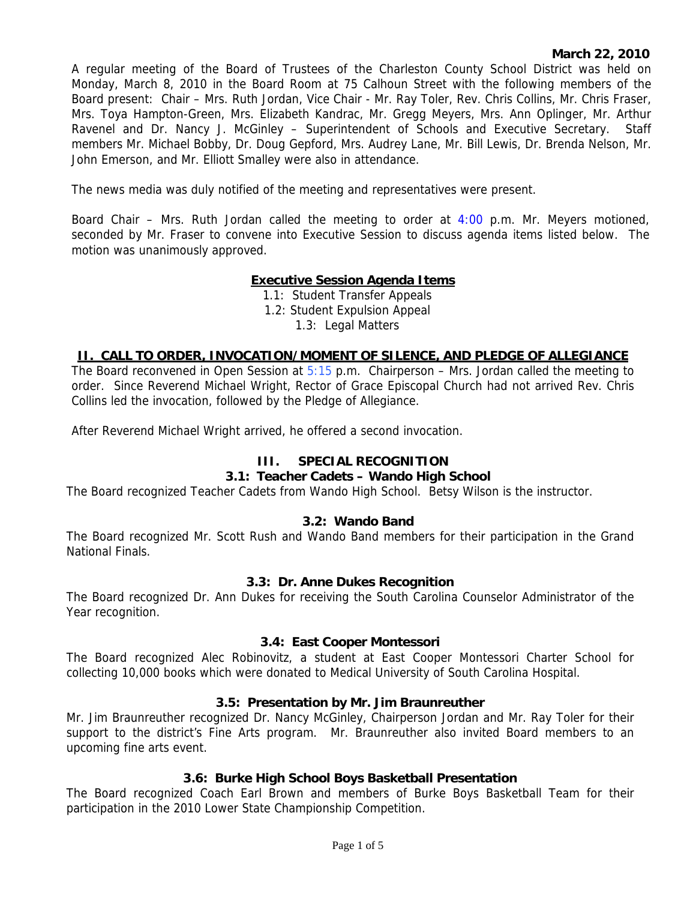## **March 22, 2010**

A regular meeting of the Board of Trustees of the Charleston County School District was held on Monday, March 8, 2010 in the Board Room at 75 Calhoun Street with the following members of the Board present: Chair – Mrs. Ruth Jordan, Vice Chair - Mr. Ray Toler, Rev. Chris Collins, Mr. Chris Fraser, Mrs. Toya Hampton-Green, Mrs. Elizabeth Kandrac, Mr. Gregg Meyers, Mrs. Ann Oplinger, Mr. Arthur Ravenel and Dr. Nancy J. McGinley – Superintendent of Schools and Executive Secretary. Staff members Mr. Michael Bobby, Dr. Doug Gepford, Mrs. Audrey Lane, Mr. Bill Lewis, Dr. Brenda Nelson, Mr. John Emerson, and Mr. Elliott Smalley were also in attendance.

The news media was duly notified of the meeting and representatives were present.

Board Chair – Mrs. Ruth Jordan called the meeting to order at 4:00 p.m. Mr. Meyers motioned, seconded by Mr. Fraser to convene into Executive Session to discuss agenda items listed below. The motion was unanimously approved.

# **Executive Session Agenda Items**

1.1: Student Transfer Appeals 1.2: Student Expulsion Appeal 1.3: Legal Matters

## **II. CALL TO ORDER, INVOCATION/MOMENT OF SILENCE, AND PLEDGE OF ALLEGIANCE**

The Board reconvened in Open Session at  $5:15$  p.m. Chairperson – Mrs. Jordan called the meeting to order. Since Reverend Michael Wright, Rector of Grace Episcopal Church had not arrived Rev. Chris Collins led the invocation, followed by the Pledge of Allegiance.

After Reverend Michael Wright arrived, he offered a second invocation.

## **III. SPECIAL RECOGNITION**

## **3.1: Teacher Cadets – Wando High School**

The Board recognized Teacher Cadets from Wando High School. Betsy Wilson is the instructor.

## **3.2: Wando Band**

The Board recognized Mr. Scott Rush and Wando Band members for their participation in the Grand National Finals.

#### **3.3: Dr. Anne Dukes Recognition**

The Board recognized Dr. Ann Dukes for receiving the South Carolina Counselor Administrator of the Year recognition.

#### **3.4: East Cooper Montessori**

The Board recognized Alec Robinovitz, a student at East Cooper Montessori Charter School for collecting 10,000 books which were donated to Medical University of South Carolina Hospital.

## **3.5: Presentation by Mr. Jim Braunreuther**

Mr. Jim Braunreuther recognized Dr. Nancy McGinley, Chairperson Jordan and Mr. Ray Toler for their support to the district's Fine Arts program. Mr. Braunreuther also invited Board members to an upcoming fine arts event.

# **3.6: Burke High School Boys Basketball Presentation**

The Board recognized Coach Earl Brown and members of Burke Boys Basketball Team for their participation in the 2010 Lower State Championship Competition.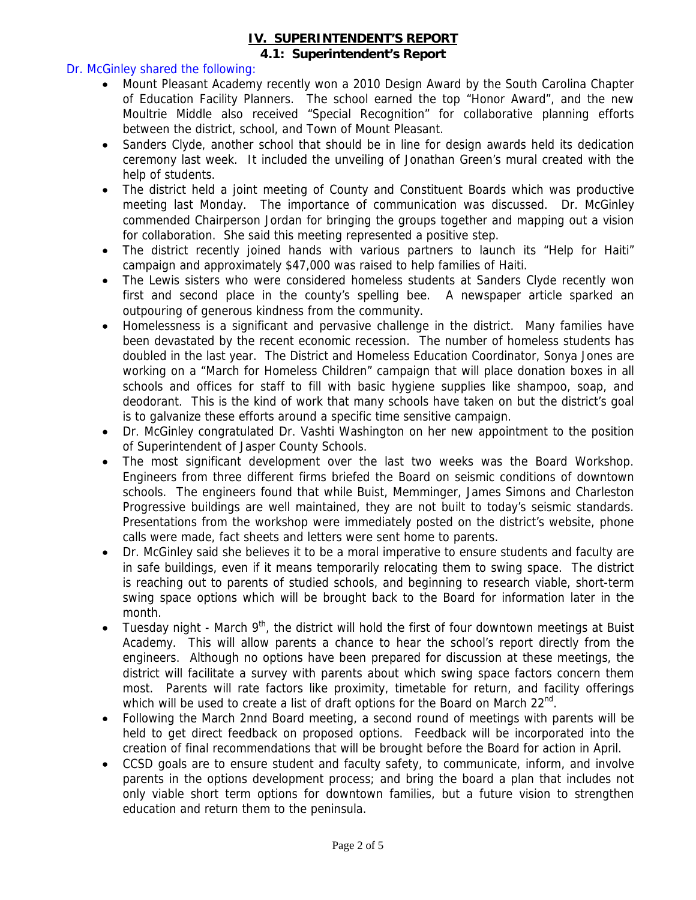#### **IV. SUPERINTENDENT'S REPORT 4.1: Superintendent's Report**

## Dr. McGinley shared the following:

- Mount Pleasant Academy recently won a 2010 Design Award by the South Carolina Chapter of Education Facility Planners. The school earned the top "Honor Award", and the new Moultrie Middle also received "Special Recognition" for collaborative planning efforts between the district, school, and Town of Mount Pleasant.
- Sanders Clyde, another school that should be in line for design awards held its dedication ceremony last week. It included the unveiling of Jonathan Green's mural created with the help of students.
- The district held a joint meeting of County and Constituent Boards which was productive meeting last Monday. The importance of communication was discussed. Dr. McGinley commended Chairperson Jordan for bringing the groups together and mapping out a vision for collaboration. She said this meeting represented a positive step.
- The district recently joined hands with various partners to launch its "Help for Haiti" campaign and approximately \$47,000 was raised to help families of Haiti.
- The Lewis sisters who were considered homeless students at Sanders Clyde recently won first and second place in the county's spelling bee. A newspaper article sparked an outpouring of generous kindness from the community.
- Homelessness is a significant and pervasive challenge in the district. Many families have been devastated by the recent economic recession. The number of homeless students has doubled in the last year. The District and Homeless Education Coordinator, Sonya Jones are working on a "March for Homeless Children" campaign that will place donation boxes in all schools and offices for staff to fill with basic hygiene supplies like shampoo, soap, and deodorant. This is the kind of work that many schools have taken on but the district's goal is to galvanize these efforts around a specific time sensitive campaign.
- Dr. McGinley congratulated Dr. Vashti Washington on her new appointment to the position of Superintendent of Jasper County Schools.
- The most significant development over the last two weeks was the Board Workshop. Engineers from three different firms briefed the Board on seismic conditions of downtown schools. The engineers found that while Buist, Memminger, James Simons and Charleston Progressive buildings are well maintained, they are not built to today's seismic standards. Presentations from the workshop were immediately posted on the district's website, phone calls were made, fact sheets and letters were sent home to parents.
- Dr. McGinley said she believes it to be a moral imperative to ensure students and faculty are in safe buildings, even if it means temporarily relocating them to swing space. The district is reaching out to parents of studied schools, and beginning to research viable, short-term swing space options which will be brought back to the Board for information later in the month.
- Tuesday night March  $9<sup>th</sup>$ , the district will hold the first of four downtown meetings at Buist Academy. This will allow parents a chance to hear the school's report directly from the engineers. Although no options have been prepared for discussion at these meetings, the district will facilitate a survey with parents about which swing space factors concern them most. Parents will rate factors like proximity, timetable for return, and facility offerings which will be used to create a list of draft options for the Board on March  $22^{nd}$ .
- Following the March 2nnd Board meeting, a second round of meetings with parents will be held to get direct feedback on proposed options. Feedback will be incorporated into the creation of final recommendations that will be brought before the Board for action in April.
- CCSD goals are to ensure student and faculty safety, to communicate, inform, and involve parents in the options development process; and bring the board a plan that includes not only viable short term options for downtown families, but a future vision to strengthen education and return them to the peninsula.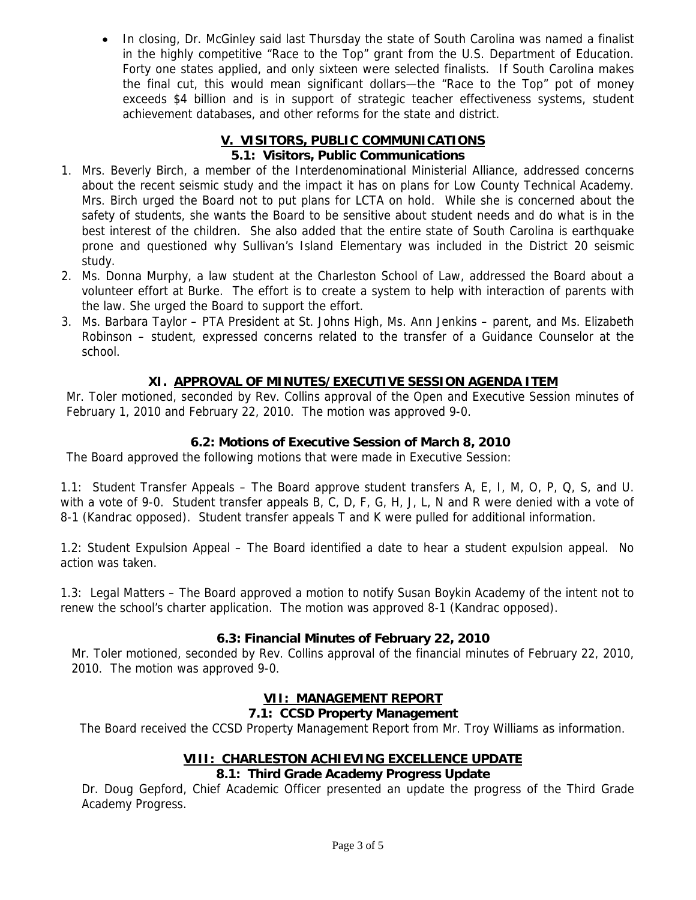In closing, Dr. McGinley said last Thursday the state of South Carolina was named a finalist in the highly competitive "Race to the Top" grant from the U.S. Department of Education. Forty one states applied, and only sixteen were selected finalists. If South Carolina makes the final cut, this would mean significant dollars—the "Race to the Top" pot of money exceeds \$4 billion and is in support of strategic teacher effectiveness systems, student achievement databases, and other reforms for the state and district.

# **V. VISITORS, PUBLIC COMMUNICATIONS**

# **5.1: Visitors, Public Communications**

- 1. Mrs. Beverly Birch, a member of the Interdenominational Ministerial Alliance, addressed concerns about the recent seismic study and the impact it has on plans for Low County Technical Academy. Mrs. Birch urged the Board not to put plans for LCTA on hold. While she is concerned about the safety of students, she wants the Board to be sensitive about student needs and do what is in the best interest of the children. She also added that the entire state of South Carolina is earthquake prone and questioned why Sullivan's Island Elementary was included in the District 20 seismic study.
- 2. Ms. Donna Murphy, a law student at the Charleston School of Law, addressed the Board about a volunteer effort at Burke. The effort is to create a system to help with interaction of parents with the law. She urged the Board to support the effort.
- 3. Ms. Barbara Taylor PTA President at St. Johns High, Ms. Ann Jenkins parent, and Ms. Elizabeth Robinson – student, expressed concerns related to the transfer of a Guidance Counselor at the school.

# **XI. APPROVAL OF MINUTES/EXECUTIVE SESSION AGENDA ITEM**

Mr. Toler motioned, seconded by Rev. Collins approval of the Open and Executive Session minutes of February 1, 2010 and February 22, 2010. The motion was approved 9-0.

# **6.2: Motions of Executive Session of March 8, 2010**

The Board approved the following motions that were made in Executive Session:

1.1: Student Transfer Appeals – The Board approve student transfers A, E, I, M, O, P, Q, S, and U. with a vote of 9-0. Student transfer appeals B, C, D, F, G, H, J, L, N and R were denied with a vote of 8-1 (Kandrac opposed). Student transfer appeals T and K were pulled for additional information.

1.2: Student Expulsion Appeal – The Board identified a date to hear a student expulsion appeal. No action was taken.

1.3: Legal Matters – The Board approved a motion to notify Susan Boykin Academy of the intent not to renew the school's charter application. The motion was approved 8-1 (Kandrac opposed).

# **6.3: Financial Minutes of February 22, 2010**

Mr. Toler motioned, seconded by Rev. Collins approval of the financial minutes of February 22, 2010, 2010. The motion was approved 9-0.

# **VII: MANAGEMENT REPORT**

# **7.1: CCSD Property Management**

The Board received the CCSD Property Management Report from Mr. Troy Williams as information.

# **VIII: CHARLESTON ACHIEVING EXCELLENCE UPDATE**

## **8.1: Third Grade Academy Progress Update**

Dr. Doug Gepford, Chief Academic Officer presented an update the progress of the Third Grade Academy Progress.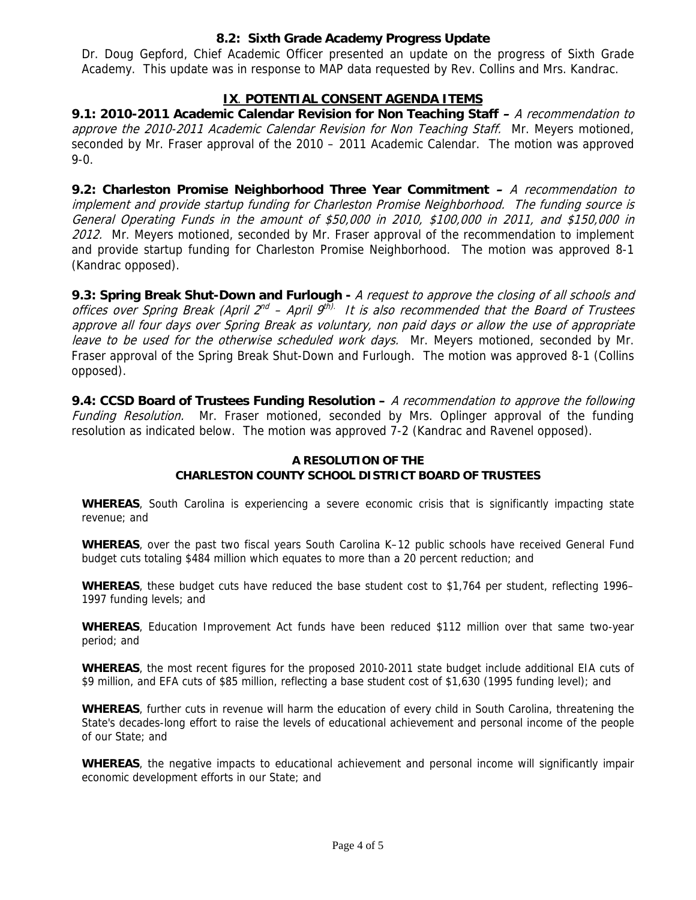## **8.2: Sixth Grade Academy Progress Update**

Dr. Doug Gepford, Chief Academic Officer presented an update on the progress of Sixth Grade Academy. This update was in response to MAP data requested by Rev. Collins and Mrs. Kandrac.

# **IX**. **POTENTIAL CONSENT AGENDA ITEMS**

**9.1: 2010-2011 Academic Calendar Revision for Non Teaching Staff –** A recommendation to approve the 2010-2011 Academic Calendar Revision for Non Teaching Staff. Mr. Meyers motioned, seconded by Mr. Fraser approval of the 2010 – 2011 Academic Calendar. The motion was approved 9-0.

**9.2: Charleston Promise Neighborhood Three Year Commitment –** A recommendation to implement and provide startup funding for Charleston Promise Neighborhood. The funding source is General Operating Funds in the amount of \$50,000 in 2010, \$100,000 in 2011, and \$150,000 in 2012. Mr. Meyers motioned, seconded by Mr. Fraser approval of the recommendation to implement and provide startup funding for Charleston Promise Neighborhood. The motion was approved 8-1 (Kandrac opposed).

**9.3: Spring Break Shut-Down and Furlough -** A request to approve the closing of all schools and offices over Spring Break (April  $2^{nd}$  – April  $9^{th}$ . It is also recommended that the Board of Trustees approve all four days over Spring Break as voluntary, non paid days or allow the use of appropriate leave to be used for the otherwise scheduled work days. Mr. Meyers motioned, seconded by Mr. Fraser approval of the Spring Break Shut-Down and Furlough. The motion was approved 8-1 (Collins opposed).

**9.4: CCSD Board of Trustees Funding Resolution –** A recommendation to approve the following Funding Resolution. Mr. Fraser motioned, seconded by Mrs. Oplinger approval of the funding resolution as indicated below. The motion was approved 7-2 (Kandrac and Ravenel opposed).

#### **A RESOLUTION OF THE CHARLESTON COUNTY SCHOOL DISTRICT BOARD OF TRUSTEES**

**WHEREAS**, South Carolina is experiencing a severe economic crisis that is significantly impacting state revenue; and

**WHEREAS**, over the past two fiscal years South Carolina K–12 public schools have received General Fund budget cuts totaling \$484 million which equates to more than a 20 percent reduction; and

**WHEREAS**, these budget cuts have reduced the base student cost to \$1,764 per student, reflecting 1996– 1997 funding levels; and

**WHEREAS**, Education Improvement Act funds have been reduced \$112 million over that same two-year period; and

**WHEREAS**, the most recent figures for the proposed 2010-2011 state budget include additional EIA cuts of \$9 million, and EFA cuts of \$85 million, reflecting a base student cost of \$1,630 (1995 funding level); and

**WHEREAS**, further cuts in revenue will harm the education of every child in South Carolina, threatening the State's decades-long effort to raise the levels of educational achievement and personal income of the people of our State; and

**WHEREAS**, the negative impacts to educational achievement and personal income will significantly impair economic development efforts in our State; and